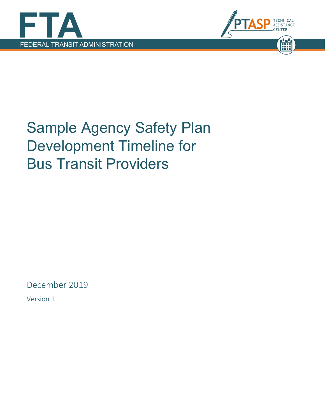



## Sample Agency Safety Plan Development Timeline for Bus Transit Providers

December 2019

Version 1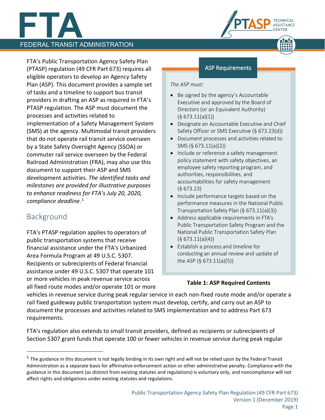# **FEDERAL TRANSIT ADMINISTRATION**

ASSISTANCE

**TECHNICAL** 

FTA's Public Transportation Agency Safety Plan (PTASP) regulation (49 CFR Part 673) requires all eligible operators to develop an Agency Safety Plan (ASP). This document provides a sample set of tasks and a timeline to support bus transit providers in drafting an ASP as required in FTA's PTASP regulation. The ASP must document the processes and activities related to implementation of a Safety Management System (SMS) at the agency. Multimodal transit providers that do not operate rail transit service overseen by a State Safety Oversight Agency (SSOA) or commuter rail service overseen by the Federal Railroad Administration (FRA), may also use this document to support their ASP and SMS development activities. *The identified tasks and milestones are provided for illustrative purposes to enhance readiness for FTA's July 20, 2020, compliance deadline.* [1](#page-1-0)

### Background

 $\overline{a}$ 

FTA's PTASP regulation applies to operators of public transportation systems that receive financial assistance under the FTA's Urbanized Area Formula Program at 49 U.S.C. 5307. Recipients or subrecipients of Federal financial assistance under 49 U.S.C. 5307 that operate 101 or more vehicles in peak revenue service across all fixed route modes and/or operate 101 or more

### ASP Requirements

### *The ASP must:*

- Be signed by the agency's Accountable Executive and approved by the Board of Directors (or an Equivalent Authority)  $(§ 673.11(a)(1))$
- Designate an Accountable Executive and Chief Safety Officer or SMS Executive (§ 673.23(d))
- Document processes and activities related to SMS (§ 673.11(a)(2))
- Include or reference a safety management policy statement with safety objectives, an employee safety reporting program, and authorities, responsibilities, and accountabilities for safety management (§ 673.23)
- Include performance targets based on the performance measures in the National Public Transportation Safety Plan (§ 673.11(a)(3))
- Address applicable requirements in FTA's Public Transportation Safety Program and the National Public Transportation Safety Plan  $(§ 673.11(a)(4))$
- Establish a process and timeline for conducting an annual review and update of the ASP (§ 673.11(a)(5))

### **Table 1: ASP Required Contents**

vehicles in revenue service during peak regular service in each non-fixed route mode and/or operate a rail fixed guideway public transportation system must develop, certify, and carry out an ASP to document the processes and activities related to SMS implementation and to address Part 673 requirements.

FTA's regulation also extends to small transit providers, defined as recipients or subrecipients of Section 5307 grant funds that operate 100 or fewer vehicles in revenue service during peak regular

<span id="page-1-0"></span> $1$  The guidance in this document is not legally binding in its own right and will not be relied upon by the Federal Transit Administration as a separate basis for affirmative enforcement action or other administrative penalty. Compliance with the guidance in this document (as distinct from existing statutes and regulations) is voluntary only, and noncompliance will not affect rights and obligations under existing statutes and regulations.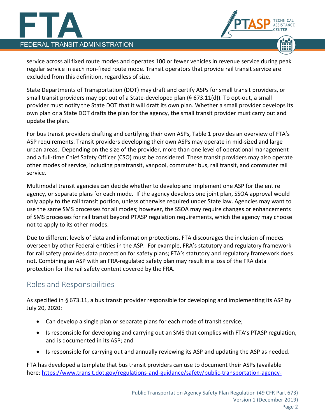## **FEDERAL TRANSIT ADMINISTRATION**



service across all fixed route modes and operates 100 or fewer vehicles in revenue service during peak regular service in each non-fixed route mode. Transit operators that provide rail transit service are excluded from this definition, regardless of size.

State Departments of Transportation (DOT) may draft and certify ASPs for small transit providers, or small transit providers may opt out of a State-developed plan (§ 673.11(d)). To opt-out, a small provider must notify the State DOT that it will draft its own plan. Whether a small provider develops its own plan or a State DOT drafts the plan for the agency, the small transit provider must carry out and update the plan.

For bus transit providers drafting and certifying their own ASPs, Table 1 provides an overview of FTA's ASP requirements. Transit providers developing their own ASPs may operate in mid-sized and large urban areas. Depending on the size of the provider, more than one level of operational management and a full-time Chief Safety Officer (CSO) must be considered. These transit providers may also operate other modes of service, including paratransit, vanpool, commuter bus, rail transit, and commuter rail service.

Multimodal transit agencies can decide whether to develop and implement one ASP for the entire agency, or separate plans for each mode. If the agency develops one joint plan, SSOA approval would only apply to the rail transit portion, unless otherwise required under State law. Agencies may want to use the same SMS processes for all modes; however, the SSOA may require changes or enhancements of SMS processes for rail transit beyond PTASP regulation requirements, which the agency may choose not to apply to its other modes.

Due to different levels of data and information protections, FTA discourages the inclusion of modes overseen by other Federal entities in the ASP. For example, FRA's statutory and regulatory framework for rail safety provides data protection for safety plans; FTA's statutory and regulatory framework does not. Combining an ASP with an FRA-regulated safety plan may result in a loss of the FRA data protection for the rail safety content covered by the FRA.

### Roles and Responsibilities

As specified in § 673.11, a bus transit provider responsible for developing and implementing its ASP by July 20, 2020:

- Can develop a single plan or separate plans for each mode of transit service;
- Is responsible for developing and carrying out an SMS that complies with FTA's PTASP regulation, and is documented in its ASP; and
- Is responsible for carrying out and annually reviewing its ASP and updating the ASP as needed.

FTA has developed a template that bus transit providers can use to document their ASPs (available here: [https://www.transit.dot.gov/regulations-and-guidance/safety/public-transportation-agency-](https://www.transit.dot.gov/regulations-and-guidance/safety/public-transportation-agency-safety-program/ptasp-template-bus)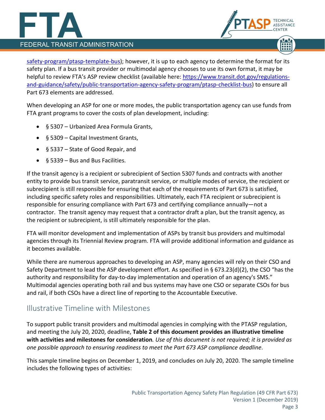## **FEDERAL TRANSIT ADMINISTRATION**

[safety-program/ptasp-template-bus\)](https://www.transit.dot.gov/regulations-and-guidance/safety/public-transportation-agency-safety-program/ptasp-template-bus); however, it is up to each agency to determine the format for its safety plan. If a bus transit provider or multimodal agency chooses to use its own format, it may be helpful to review FTA's ASP review checklist (available here: [https://www.transit.dot.gov/regulations](https://www.transit.dot.gov/regulations-and-guidance/safety/public-transportation-agency-safety-program/ptasp-checklist-bus)[and-guidance/safety/public-transportation-agency-safety-program/ptasp-checklist-bus\)](https://www.transit.dot.gov/regulations-and-guidance/safety/public-transportation-agency-safety-program/ptasp-checklist-bus) to ensure all Part 673 elements are addressed.

ASSISTANCE

When developing an ASP for one or more modes, the public transportation agency can use funds from FTA grant programs to cover the costs of plan development, including:

- § 5307 Urbanized Area Formula Grants,
- § 5309 Capital Investment Grants,
- § 5337 State of Good Repair, and
- § 5339 Bus and Bus Facilities.

If the transit agency is a recipient or subrecipient of Section 5307 funds and contracts with another entity to provide bus transit service, paratransit service, or multiple modes of service, the recipient or subrecipient is still responsible for ensuring that each of the requirements of Part 673 is satisfied, including specific safety roles and responsibilities. Ultimately, each FTA recipient or subrecipient is responsible for ensuring compliance with Part 673 and certifying compliance annually—not a contractor. The transit agency may request that a contractor draft a plan, but the transit agency, as the recipient or subrecipient, is still ultimately responsible for the plan.

FTA will monitor development and implementation of ASPs by transit bus providers and multimodal agencies through its Triennial Review program. FTA will provide additional information and guidance as it becomes available.

While there are numerous approaches to developing an ASP, many agencies will rely on their CSO and Safety Department to lead the ASP development effort. As specified in § 673.23(d)(2), the CSO "has the authority and responsibility for day-to-day implementation and operation of an agency's SMS." Multimodal agencies operating both rail and bus systems may have one CSO or separate CSOs for bus and rail, if both CSOs have a direct line of reporting to the Accountable Executive.

### Illustrative Timeline with Milestones

To support public transit providers and multimodal agencies in complying with the PTASP regulation, and meeting the July 20, 2020, deadline, **Table 2 of this document provides an illustrative timeline with activities and milestones for consideration***. Use of this document is not required; it is provided as one possible approach to ensuring readiness to meet the Part 673 ASP compliance deadline*.

This sample timeline begins on December 1, 2019, and concludes on July 20, 2020. The sample timeline includes the following types of activities: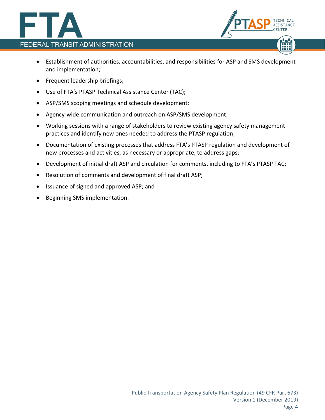



- Establishment of authorities, accountabilities, and responsibilities for ASP and SMS development and implementation;
- Frequent leadership briefings;
- Use of FTA's PTASP Technical Assistance Center (TAC);
- ASP/SMS scoping meetings and schedule development;
- Agency-wide communication and outreach on ASP/SMS development;
- Working sessions with a range of stakeholders to review existing agency safety management practices and identify new ones needed to address the PTASP regulation;
- Documentation of existing processes that address FTA's PTASP regulation and development of new processes and activities, as necessary or appropriate, to address gaps;
- Development of initial draft ASP and circulation for comments, including to FTA's PTASP TAC;
- Resolution of comments and development of final draft ASP;
- Issuance of signed and approved ASP; and
- Beginning SMS implementation.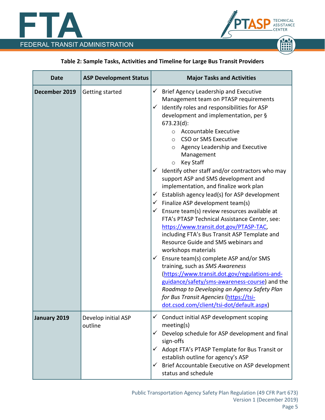



### **Table 2: Sample Tasks, Activities and Timeline for Large Bus Transit Providers**

| <b>Date</b>   | <b>ASP Development Status</b>  | <b>Major Tasks and Activities</b>                                                                                                                                                                                                                                                                                                                                                                                                                                                                                                                                                                                                                                                                                                                                                                                                                                    |
|---------------|--------------------------------|----------------------------------------------------------------------------------------------------------------------------------------------------------------------------------------------------------------------------------------------------------------------------------------------------------------------------------------------------------------------------------------------------------------------------------------------------------------------------------------------------------------------------------------------------------------------------------------------------------------------------------------------------------------------------------------------------------------------------------------------------------------------------------------------------------------------------------------------------------------------|
| December 2019 | Getting started                | Brief Agency Leadership and Executive<br>$\checkmark$<br>Management team on PTASP requirements<br>Identify roles and responsibilities for ASP<br>$\checkmark$<br>development and implementation, per §<br>$673.23(d)$ :<br><b>Accountable Executive</b><br>$\circ$<br>CSO or SMS Executive<br>$\circ$<br>Agency Leadership and Executive<br>$\circ$<br>Management<br><b>Key Staff</b><br>$\circ$                                                                                                                                                                                                                                                                                                                                                                                                                                                                     |
|               |                                | Identify other staff and/or contractors who may<br>$\checkmark$<br>support ASP and SMS development and<br>implementation, and finalize work plan<br>Establish agency lead(s) for ASP development<br>✓<br>$\checkmark$ Finalize ASP development team(s)<br>Ensure team(s) review resources available at<br>$\checkmark$<br>FTA's PTASP Technical Assistance Center, see:<br>https://www.transit.dot.gov/PTASP-TAC,<br>including FTA's Bus Transit ASP Template and<br>Resource Guide and SMS webinars and<br>workshops materials<br>Ensure team(s) complete ASP and/or SMS<br>$\checkmark$<br>training, such as SMS Awareness<br>(https://www.transit.dot.gov/regulations-and-<br>guidance/safety/sms-awareness-course) and the<br>Roadmap to Developing an Agency Safety Plan<br>for Bus Transit Agencies (https://tsi-<br>dot.csod.com/client/tsi-dot/default.aspx) |
| January 2019  | Develop initial ASP<br>outline | $\checkmark$ Conduct initial ASP development scoping<br>meeting(s)<br>Develop schedule for ASP development and final<br>✓<br>sign-offs<br>$\checkmark$ Adopt FTA's PTASP Template for Bus Transit or<br>establish outline for agency's ASP<br>Brief Accountable Executive on ASP development<br>$\checkmark$<br>status and schedule                                                                                                                                                                                                                                                                                                                                                                                                                                                                                                                                  |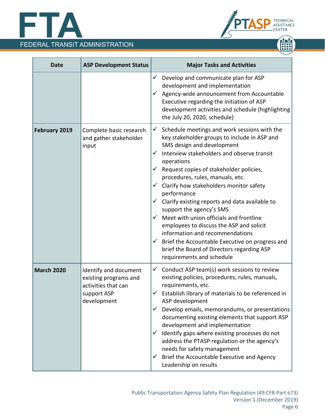





| <b>Date</b>       | <b>ASP Development Status</b>                                                                       | <b>Major Tasks and Activities</b>                                                                                                                                                                                                                                                                                                                                                                                                                                                                                                                                                                                                                                                                                                                         |
|-------------------|-----------------------------------------------------------------------------------------------------|-----------------------------------------------------------------------------------------------------------------------------------------------------------------------------------------------------------------------------------------------------------------------------------------------------------------------------------------------------------------------------------------------------------------------------------------------------------------------------------------------------------------------------------------------------------------------------------------------------------------------------------------------------------------------------------------------------------------------------------------------------------|
|                   |                                                                                                     | Develop and communicate plan for ASP<br>$\checkmark$<br>development and implementation<br>Agency-wide announcement from Accountable<br>$\checkmark$<br>Executive regarding the initiation of ASP<br>development activities and schedule (highlighting<br>the July 20, 2020, schedule)                                                                                                                                                                                                                                                                                                                                                                                                                                                                     |
| February 2019     | Complete basic research<br>and gather stakeholder<br>input                                          | Schedule meetings and work sessions with the<br>$\checkmark$<br>key stakeholder groups to include in ASP and<br>SMS design and development<br>Interview stakeholders and observe transit<br>✓<br>operations<br>Request copies of stakeholder policies,<br>$\checkmark$<br>procedures, rules, manuals, etc.<br>$\checkmark$ Clarify how stakeholders monitor safety<br>performance<br>Clarify existing reports and data available to<br>$\checkmark$<br>support the agency's SMS<br>Meet with union officials and frontline<br>✓<br>employees to discuss the ASP and solicit<br>information and recommendations<br>$\checkmark$ Brief the Accountable Executive on progress and<br>brief the Board of Directors regarding ASP<br>requirements and schedule |
| <b>March 2020</b> | Identify and document<br>existing programs and<br>activities that can<br>support ASP<br>development | Conduct ASP team(s) work sessions to review<br>$\checkmark$<br>existing policies, procedures, rules, manuals,<br>requirements, etc.<br>$\checkmark$ Establish library of materials to be referenced in<br>ASP development<br>Develop emails, memorandums, or presentations<br>$\checkmark$<br>documenting existing elements that support ASP<br>development and implementation<br>$\checkmark$ Identify gaps where existing processes do not<br>address the PTASP regulation or the agency's<br>needs for safety management<br>Brief the Accountable Executive and Agency<br>$\checkmark$<br>Leadership on results                                                                                                                                        |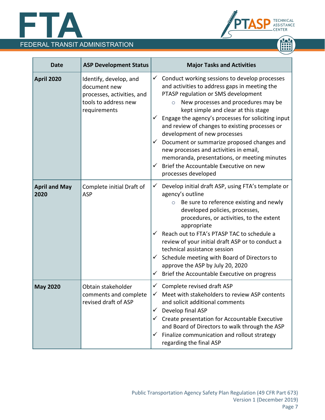



| <b>Date</b>                  | <b>ASP Development Status</b>                                                                                | <b>Major Tasks and Activities</b>                                                                                                                                                                                                                                                                                                                                                                                                                                                                                                                                                              |
|------------------------------|--------------------------------------------------------------------------------------------------------------|------------------------------------------------------------------------------------------------------------------------------------------------------------------------------------------------------------------------------------------------------------------------------------------------------------------------------------------------------------------------------------------------------------------------------------------------------------------------------------------------------------------------------------------------------------------------------------------------|
| <b>April 2020</b>            | Identify, develop, and<br>document new<br>processes, activities, and<br>tools to address new<br>requirements | Conduct working sessions to develop processes<br>✓<br>and activities to address gaps in meeting the<br>PTASP regulation or SMS development<br>New processes and procedures may be<br>$\circ$<br>kept simple and clear at this stage<br>Engage the agency's processes for soliciting input<br>and review of changes to existing processes or<br>development of new processes<br>Document or summarize proposed changes and<br>✓<br>new processes and activities in email,<br>memoranda, presentations, or meeting minutes<br>Brief the Accountable Executive on new<br>✓<br>processes developed |
| <b>April and May</b><br>2020 | Complete initial Draft of<br><b>ASP</b>                                                                      | Develop initial draft ASP, using FTA's template or<br>✓<br>agency's outline<br>Be sure to reference existing and newly<br>$\circ$<br>developed policies, processes,<br>procedures, or activities, to the extent<br>appropriate<br>Reach out to FTA's PTASP TAC to schedule a<br>review of your initial draft ASP or to conduct a<br>technical assistance session<br>Schedule meeting with Board of Directors to<br>✓<br>approve the ASP by July 20, 2020<br>Brief the Accountable Executive on progress<br>$\checkmark$                                                                        |
| <b>May 2020</b>              | Obtain stakeholder<br>comments and complete<br>revised draft of ASP                                          | $\checkmark$ Complete revised draft ASP<br>Meet with stakeholders to review ASP contents<br>and solicit additional comments<br>Develop final ASP<br>Create presentation for Accountable Executive<br>and Board of Directors to walk through the ASP<br>Finalize communication and rollout strategy<br>$\checkmark$<br>regarding the final ASP                                                                                                                                                                                                                                                  |